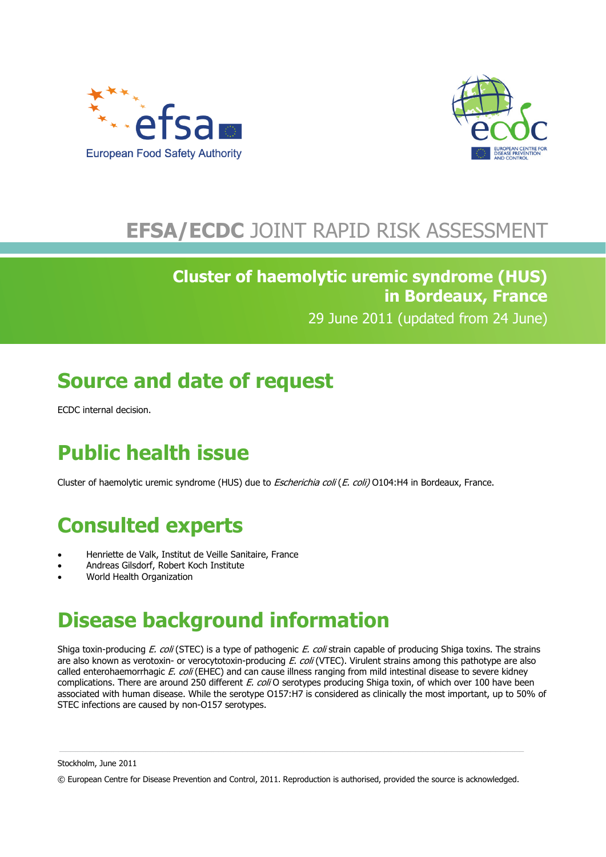



## **EFSA/ECDC** JOINT RAPID RISK ASSESSMENT

### **Cluster of haemolytic uremic syndrome (HUS) in Bordeaux, France** 29 June 2011 (updated from 24 June)

# **Source and date of request**

ECDC internal decision.

# **Public health issue**

Cluster of haemolytic uremic syndrome (HUS) due to *Escherichia coli (E. coli)* O104:H4 in Bordeaux, France.

## **Consulted experts**

- Henriette de Valk, Institut de Veille Sanitaire, France
- Andreas Gilsdorf, Robert Koch Institute
- World Health Organization

## **Disease background information**

Shiga toxin-producing E. coli (STEC) is a type of pathogenic E. coli strain capable of producing Shiga toxins. The strains are also known as verotoxin- or verocytotoxin-producing E. coli (VTEC). Virulent strains among this pathotype are also called enterohaemorrhagic E. coli (EHEC) and can cause illness ranging from mild intestinal disease to severe kidney complications. There are around 250 different E. coli O serotypes producing Shiga toxin, of which over 100 have been associated with human disease. While the serotype O157:H7 is considered as clinically the most important, up to 50% of STEC infections are caused by non-O157 serotypes.

Stockholm, June 2011

© European Centre for Disease Prevention and Control, 2011. Reproduction is authorised, provided the source is acknowledged.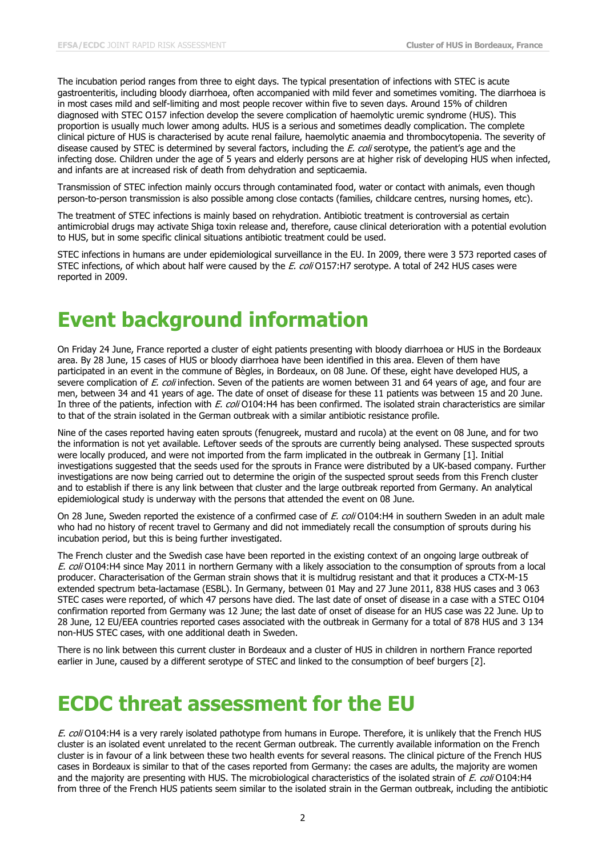The incubation period ranges from three to eight days. The typical presentation of infections with STEC is acute gastroenteritis, including bloody diarrhoea, often accompanied with mild fever and sometimes vomiting. The diarrhoea is in most cases mild and self-limiting and most people recover within five to seven days. Around 15% of children diagnosed with STEC O157 infection develop the severe complication of haemolytic uremic syndrome (HUS). This proportion is usually much lower among adults. HUS is a serious and sometimes deadly complication. The complete clinical picture of HUS is characterised by acute renal failure, haemolytic anaemia and thrombocytopenia. The severity of disease caused by STEC is determined by several factors, including the  $E.$  coli serotype, the patient's age and the infecting dose. Children under the age of 5 years and elderly persons are at higher risk of developing HUS when infected, and infants are at increased risk of death from dehydration and septicaemia.

Transmission of STEC infection mainly occurs through contaminated food, water or contact with animals, even though person-to-person transmission is also possible among close contacts (families, childcare centres, nursing homes, etc).

The treatment of STEC infections is mainly based on rehydration. Antibiotic treatment is controversial as certain antimicrobial drugs may activate Shiga toxin release and, therefore, cause clinical deterioration with a potential evolution to HUS, but in some specific clinical situations antibiotic treatment could be used.

STEC infections in humans are under epidemiological surveillance in the EU. In 2009, there were 3 573 reported cases of STEC infections, of which about half were caused by the E. coli O157:H7 serotype. A total of 242 HUS cases were reported in 2009.

### **Event background information**

On Friday 24 June, France reported a cluster of eight patients presenting with bloody diarrhoea or HUS in the Bordeaux area. By 28 June, 15 cases of HUS or bloody diarrhoea have been identified in this area. Eleven of them have participated in an event in the commune of Bègles, in Bordeaux, on 08 June. Of these, eight have developed HUS, a severe complication of E. coli infection. Seven of the patients are women between 31 and 64 years of age, and four are men, between 34 and 41 years of age. The date of onset of disease for these 11 patients was between 15 and 20 June. In three of the patients, infection with E. coli O104:H4 has been confirmed. The isolated strain characteristics are similar to that of the strain isolated in the German outbreak with a similar antibiotic resistance profile.

Nine of the cases reported having eaten sprouts (fenugreek, mustard and rucola) at the event on 08 June, and for two the information is not yet available. Leftover seeds of the sprouts are currently being analysed. These suspected sprouts were locally produced, and were not imported from the farm implicated in the outbreak in Germany [1]. Initial investigations suggested that the seeds used for the sprouts in France were distributed by a UK-based company. Further investigations are now being carried out to determine the origin of the suspected sprout seeds from this French cluster and to establish if there is any link between that cluster and the large outbreak reported from Germany. An analytical epidemiological study is underway with the persons that attended the event on 08 June.

On 28 June, Sweden reported the existence of a confirmed case of E. coli O104:H4 in southern Sweden in an adult male who had no history of recent travel to Germany and did not immediately recall the consumption of sprouts during his incubation period, but this is being further investigated.

The French cluster and the Swedish case have been reported in the existing context of an ongoing large outbreak of E. coli O104:H4 since May 2011 in northern Germany with a likely association to the consumption of sprouts from a local producer. Characterisation of the German strain shows that it is multidrug resistant and that it produces a CTX-M-15 extended spectrum beta-lactamase (ESBL). In Germany, between 01 May and 27 June 2011, 838 HUS cases and 3 063 STEC cases were reported, of which 47 persons have died. The last date of onset of disease in a case with a STEC O104 confirmation reported from Germany was 12 June; the last date of onset of disease for an HUS case was 22 June. Up to 28 June, 12 EU/EEA countries reported cases associated with the outbreak in Germany for a total of 878 HUS and 3 134 non-HUS STEC cases, with one additional death in Sweden.

There is no link between this current cluster in Bordeaux and a cluster of HUS in children in northern France reported earlier in June, caused by a different serotype of STEC and linked to the consumption of beef burgers [2].

### **ECDC threat assessment for the EU**

E. coli O104:H4 is a very rarely isolated pathotype from humans in Europe. Therefore, it is unlikely that the French HUS cluster is an isolated event unrelated to the recent German outbreak. The currently available information on the French cluster is in favour of a link between these two health events for several reasons. The clinical picture of the French HUS cases in Bordeaux is similar to that of the cases reported from Germany: the cases are adults, the majority are women and the majority are presenting with HUS. The microbiological characteristics of the isolated strain of E. coli O104:H4 from three of the French HUS patients seem similar to the isolated strain in the German outbreak, including the antibiotic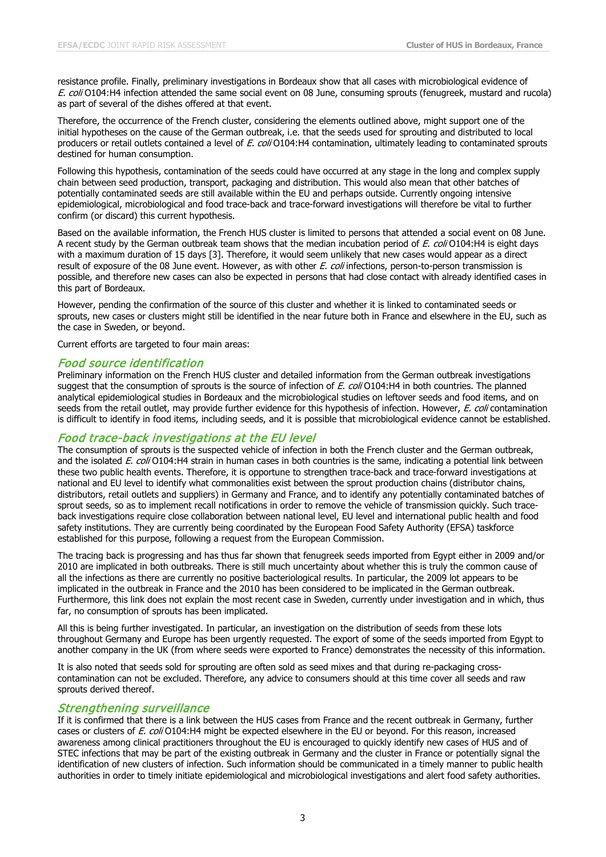resistance profile. Finally, preliminary investigations in Bordeaux show that all cases with microbiological evidence of E. coli O104:H4 infection attended the same social event on 08 June, consuming sprouts (fenugreek, mustard and rucola) as part of several of the dishes offered at that event.

Therefore, the occurrence of the French cluster, considering the elements outlined above, might support one of the initial hypotheses on the cause of the German outbreak, i.e. that the seeds used for sprouting and distributed to local producers or retail outlets contained a level of E. coli O104:H4 contamination, ultimately leading to contaminated sprouts destined for human consumption.

Following this hypothesis, contamination of the seeds could have occurred at any stage in the long and complex supply chain between seed production, transport, packaging and distribution. This would also mean that other batches of potentially contaminated seeds are still available within the EU and perhaps outside. Currently ongoing intensive epidemiological, microbiological and food trace-back and trace-forward investigations will therefore be vital to further confirm (or discard) this current hypothesis.

Based on the available information, the French HUS cluster is limited to persons that attended a social event on 08 June. A recent study by the German outbreak team shows that the median incubation period of E. coli O104:H4 is eight days with a maximum duration of 15 days [3]. Therefore, it would seem unlikely that new cases would appear as a direct result of exposure of the 08 June event. However, as with other E. coli infections, person-to-person transmission is possible, and therefore new cases can also be expected in persons that had close contact with already identified cases in this part of Bordeaux.

However, pending the confirmation of the source of this cluster and whether it is linked to contaminated seeds or sprouts, new cases or clusters might still be identified in the near future both in France and elsewhere in the EU, such as the case in Sweden, or beyond.

Current efforts are targeted to four main areas:

#### Food source identification

Preliminary information on the French HUS cluster and detailed information from the German outbreak investigations suggest that the consumption of sprouts is the source of infection of E. coli O104:H4 in both countries. The planned analytical epidemiological studies in Bordeaux and the microbiological studies on leftover seeds and food items, and on seeds from the retail outlet, may provide further evidence for this hypothesis of infection. However, E. coli contamination is difficult to identify in food items, including seeds, and it is possible that microbiological evidence cannot be established.

#### Food trace-back investigations at the EU level

The consumption of sprouts is the suspected vehicle of infection in both the French cluster and the German outbreak, and the isolated E. coli O104:H4 strain in human cases in both countries is the same, indicating a potential link between these two public health events. Therefore, it is opportune to strengthen trace-back and trace-forward investigations at national and EU level to identify what commonalities exist between the sprout production chains (distributor chains, distributors, retail outlets and suppliers) in Germany and France, and to identify any potentially contaminated batches of sprout seeds, so as to implement recall notifications in order to remove the vehicle of transmission quickly. Such traceback investigations require close collaboration between national level, EU level and international public health and food safety institutions. They are currently being coordinated by the European Food Safety Authority (EFSA) taskforce established for this purpose, following a request from the European Commission.

The tracing back is progressing and has thus far shown that fenugreek seeds imported from Egypt either in 2009 and/or 2010 are implicated in both outbreaks. There is still much uncertainty about whether this is truly the common cause of all the infections as there are currently no positive bacteriological results. In particular, the 2009 lot appears to be implicated in the outbreak in France and the 2010 has been considered to be implicated in the German outbreak. Furthermore, this link does not explain the most recent case in Sweden, currently under investigation and in which, thus far, no consumption of sprouts has been implicated.

All this is being further investigated. In particular, an investigation on the distribution of seeds from these lots throughout Germany and Europe has been urgently requested. The export of some of the seeds imported from Egypt to another company in the UK (from where seeds were exported to France) demonstrates the necessity of this information.

It is also noted that seeds sold for sprouting are often sold as seed mixes and that during re-packaging crosscontamination can not be excluded. Therefore, any advice to consumers should at this time cover all seeds and raw sprouts derived thereof.

#### Strengthening surveillance

If it is confirmed that there is a link between the HUS cases from France and the recent outbreak in Germany, further cases or clusters of E. coli O104:H4 might be expected elsewhere in the EU or beyond. For this reason, increased awareness among clinical practitioners throughout the EU is encouraged to quickly identify new cases of HUS and of STEC infections that may be part of the existing outbreak in Germany and the cluster in France or potentially signal the identification of new clusters of infection. Such information should be communicated in a timely manner to public health authorities in order to timely initiate epidemiological and microbiological investigations and alert food safety authorities.